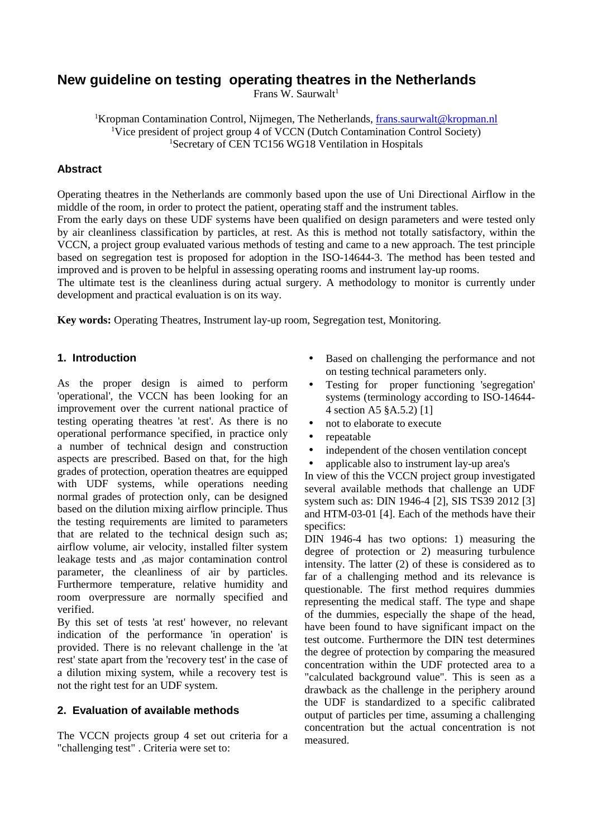# **New guideline on testing operating theatres in the Netherlands**

Frans W. Saurwalt<sup>1</sup>

<sup>1</sup>Kropman Contamination Control, Nijmegen, The Netherlands, frans.saurwalt@kropman.nl <sup>1</sup>Vice president of project group 4 of VCCN (Dutch Contamination Control Society) <sup>1</sup>Secretary of CEN TC156 WG18 Ventilation in Hospitals

## **Abstract**

Operating theatres in the Netherlands are commonly based upon the use of Uni Directional Airflow in the middle of the room, in order to protect the patient, operating staff and the instrument tables. From the early days on these UDF systems have been qualified on design parameters and were tested only by air cleanliness classification by particles, at rest. As this is method not totally satisfactory, within the VCCN, a project group evaluated various methods of testing and came to a new approach. The test principle based on segregation test is proposed for adoption in the ISO-14644-3. The method has been tested and improved and is proven to be helpful in assessing operating rooms and instrument lay-up rooms.

The ultimate test is the cleanliness during actual surgery. A methodology to monitor is currently under development and practical evaluation is on its way.

**Key words:** Operating Theatres, Instrument lay-up room, Segregation test, Monitoring.

## **1. Introduction**

As the proper design is aimed to perform 'operational', the VCCN has been looking for an improvement over the current national practice of testing operating theatres 'at rest'. As there is no operational performance specified, in practice only a number of technical design and construction aspects are prescribed. Based on that, for the high grades of protection, operation theatres are equipped with UDF systems, while operations needing normal grades of protection only, can be designed based on the dilution mixing airflow principle. Thus the testing requirements are limited to parameters that are related to the technical design such as; airflow volume, air velocity, installed filter system leakage tests and ,as major contamination control parameter, the cleanliness of air by particles. Furthermore temperature, relative humidity and room overpressure are normally specified and verified.

By this set of tests 'at rest' however, no relevant indication of the performance 'in operation' is provided. There is no relevant challenge in the 'at rest' state apart from the 'recovery test' in the case of a dilution mixing system, while a recovery test is not the right test for an UDF system.

## **2. Evaluation of available methods**

The VCCN projects group 4 set out criteria for a "challenging test" . Criteria were set to:

- Based on challenging the performance and not on testing technical parameters only.
- Testing for proper functioning 'segregation' systems (terminology according to ISO-14644- 4 section A5 §A.5.2) [1]
- not to elaborate to execute
- repeatable
- independent of the chosen ventilation concept
- applicable also to instrument lay-up area's

In view of this the VCCN project group investigated several available methods that challenge an UDF system such as: DIN 1946-4 [2], SIS TS39 2012 [3] and HTM-03-01 [4]. Each of the methods have their specifics:

DIN 1946-4 has two options: 1) measuring the degree of protection or 2) measuring turbulence intensity. The latter (2) of these is considered as to far of a challenging method and its relevance is questionable. The first method requires dummies representing the medical staff. The type and shape of the dummies, especially the shape of the head, have been found to have significant impact on the test outcome. Furthermore the DIN test determines the degree of protection by comparing the measured concentration within the UDF protected area to a "calculated background value". This is seen as a drawback as the challenge in the periphery around the UDF is standardized to a specific calibrated output of particles per time, assuming a challenging concentration but the actual concentration is not measured.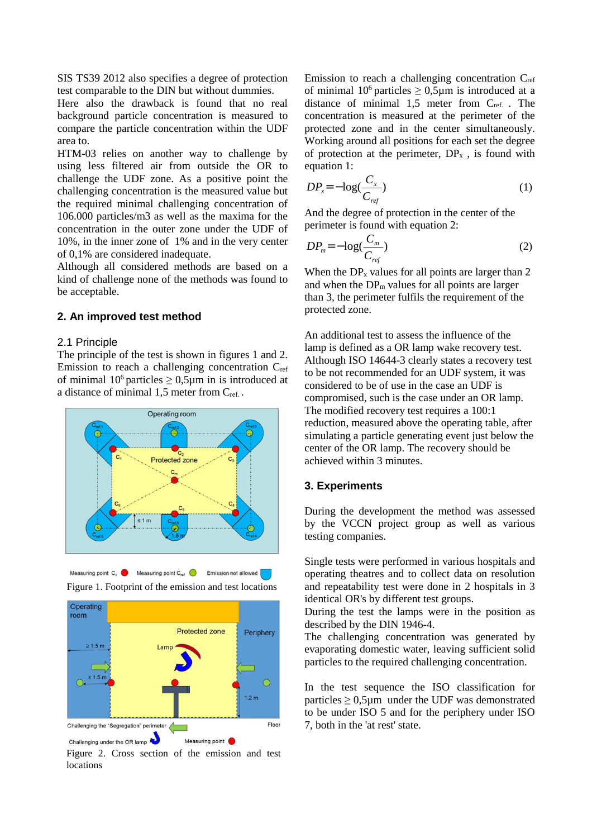SIS TS39 2012 also specifies a degree of protection test comparable to the DIN but without dummies.

Here also the drawback is found that no real background particle concentration is measured to compare the particle concentration within the UDF area to.

HTM-03 relies on another way to challenge by using less filtered air from outside the OR to challenge the UDF zone. As a positive point the challenging concentration is the measured value but the required minimal challenging concentration of 106.000 particles/m3 as well as the maxima for the concentration in the outer zone under the UDF of 10%, in the inner zone of 1% and in the very center of 0,1% are considered inadequate.

Although all considered methods are based on a kind of challenge none of the methods was found to be acceptable.

## **2. An improved test method**

#### 2.1 Principle

The principle of the test is shown in figures 1 and 2. Emission to reach a challenging concentration  $C_{ref}$ of minimal  $10^6$  particles  $\geq 0.5\mu$ m in is introduced at a distance of minimal 1,5 meter from Cref. .



Measuring point  $C_x$  Measuring point  $C_{ref}$   $\bigcirc$  Emission not allowed Figure 1. Footprint of the emission and test locations



Figure 2. Cross section of the emission and test locations

Emission to reach a challenging concentration  $C_{ref}$ of minimal  $10^6$  particles  $\geq 0.5\mu$ m is introduced at a distance of minimal  $1,5$  meter from  $C_{ref.}$ . The concentration is measured at the perimeter of the protected zone and in the center simultaneously. Working around all positions for each set the degree of protection at the perimeter,  $DP_{x}$ , is found with equation 1:

$$
DP_x = -\log(\frac{C_x}{C_{ref}})
$$
 (1)

And the degree of protection in the center of the perimeter is found with equation 2:

$$
DP_m = -\log(\frac{C_m}{C_{ref}})
$$
 (2)

When the  $DP_x$  values for all points are larger than 2 and when the  $DP_m$  values for all points are larger than 3, the perimeter fulfils the requirement of the protected zone.

An additional test to assess the influence of the lamp is defined as a OR lamp wake recovery test. Although ISO 14644-3 clearly states a recovery test to be not recommended for an UDF system, it was considered to be of use in the case an UDF is compromised, such is the case under an OR lamp. The modified recovery test requires a 100:1 reduction, measured above the operating table, after simulating a particle generating event just below the center of the OR lamp. The recovery should be achieved within 3 minutes.

#### **3. Experiments**

During the development the method was assessed by the VCCN project group as well as various testing companies.

Single tests were performed in various hospitals and operating theatres and to collect data on resolution and repeatability test were done in 2 hospitals in 3 identical OR's by different test groups.

During the test the lamps were in the position as described by the DIN 1946-4.

The challenging concentration was generated by evaporating domestic water, leaving sufficient solid particles to the required challenging concentration.

In the test sequence the ISO classification for particles  $\geq 0.5\mu$ m under the UDF was demonstrated to be under ISO 5 and for the periphery under ISO 7, both in the 'at rest' state.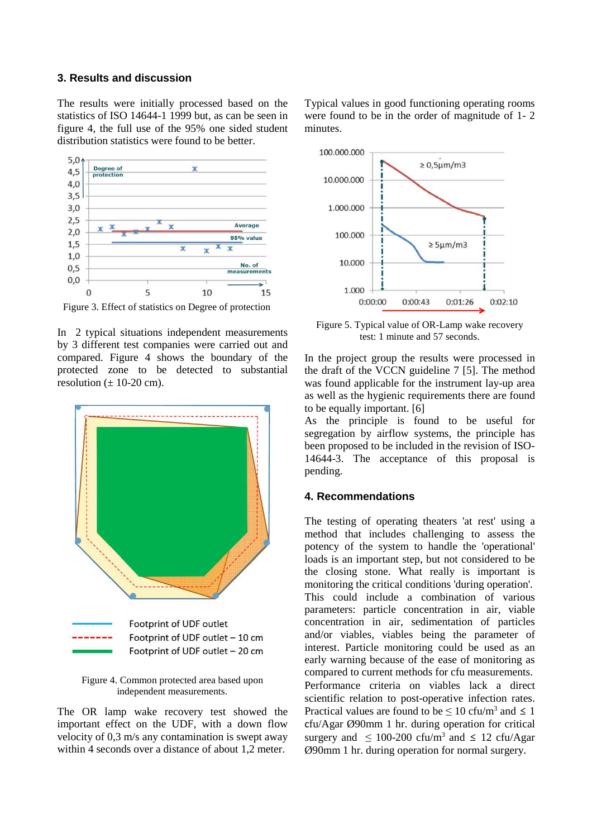#### **3. Results and discussion**

The results were initially processed based on the statistics of ISO 14644-1 1999 but, as can be seen in figure 4, the full use of the 95% one sided student distribution statistics were found to be better.



Figure 3. Effect of statistics on Degree of protection

In 2 typical situations independent measurements by 3 different test companies were carried out and compared. Figure 4 shows the boundary of the protected zone to be detected to substantial resolution  $(\pm 10{\text -}20 \text{ cm})$ .



Figure 4. Common protected area based upon independent measurements.

The OR lamp wake recovery test showed the important effect on the UDF, with a down flow velocity of 0,3 m/s any contamination is swept away within 4 seconds over a distance of about 1,2 meter.

Typical values in good functioning operating rooms were found to be in the order of magnitude of 1- 2 minutes.



Figure 5. Typical value of OR-Lamp wake recovery test: 1 minute and 57 seconds.

In the project group the results were processed in the draft of the VCCN guideline 7 [5]. The method was found applicable for the instrument lay-up area as well as the hygienic requirements there are found to be equally important. [6]

As the principle is found to be useful for segregation by airflow systems, the principle has been proposed to be included in the revision of ISO-14644-3. The acceptance of this proposal is pending.

#### **4. Recommendations**

The testing of operating theaters 'at rest' using a method that includes challenging to assess the potency of the system to handle the 'operational' loads is an important step, but not considered to be the closing stone. What really is important is monitoring the critical conditions 'during operation'. This could include a combination of various parameters: particle concentration in air, viable concentration in air, sedimentation of particles and/or viables, viables being the parameter of interest. Particle monitoring could be used as an early warning because of the ease of monitoring as compared to current methods for cfu measurements. Performance criteria on viables lack a direct scientific relation to post-operative infection rates. Practical values are found to be  $\leq 10$  cfu/m<sup>3</sup> and  $\leq 1$ cfu/Agar Ø90mm 1 hr. during operation for critical surgery and  $\leq 100{\text -}200 \text{ c}$  fu/m<sup>3</sup> and  $\leq 12 \text{ c}$  fu/Agar Ø90mm 1 hr. during operation for normal surgery.